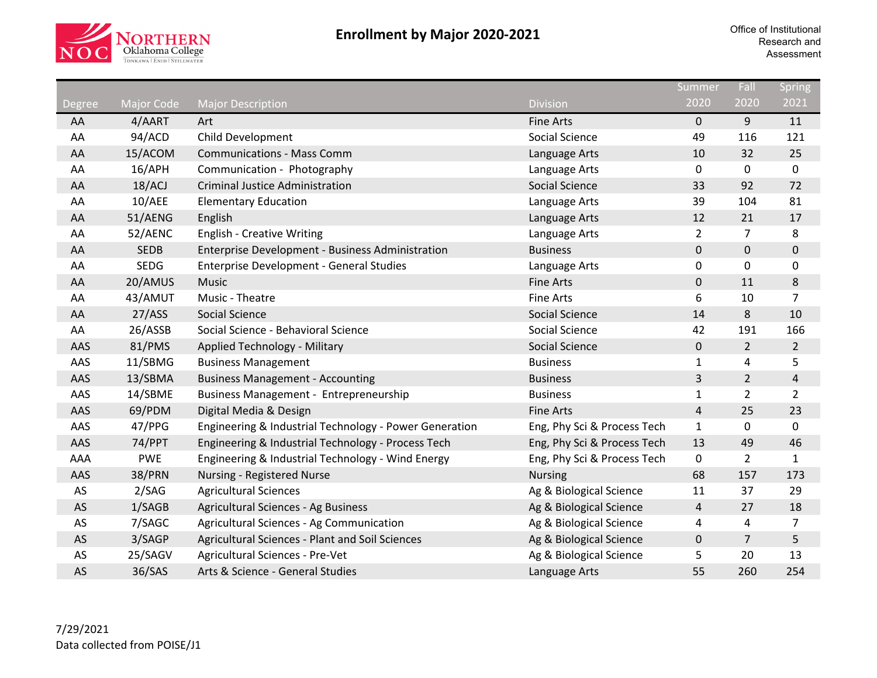

|               |                   |                                                        |                             | Summer         | Fall           | <b>Spring</b>  |
|---------------|-------------------|--------------------------------------------------------|-----------------------------|----------------|----------------|----------------|
| <b>Degree</b> | <b>Major Code</b> | <b>Major Description</b>                               | <b>Division</b>             | 2020           | 2020           | 2021           |
| AA            | 4/AART            | Art                                                    | <b>Fine Arts</b>            | 0              | 9              | 11             |
| AA            | 94/ACD            | Child Development                                      | <b>Social Science</b>       | 49             | 116            | 121            |
| AA            | 15/ACOM           | <b>Communications - Mass Comm</b>                      | Language Arts               | 10             | 32             | 25             |
| AA            | 16/APH            | Communication - Photography                            | Language Arts               | 0              | $\mathbf 0$    | $\mathbf 0$    |
| AA            | 18/ACJ            | <b>Criminal Justice Administration</b>                 | <b>Social Science</b>       | 33             | 92             | 72             |
| AA            | 10/AEE            | <b>Elementary Education</b>                            | Language Arts               | 39             | 104            | 81             |
| AA            | 51/AENG           | English                                                | Language Arts               | 12             | 21             | 17             |
| AA            | 52/AENC           | <b>English - Creative Writing</b>                      | Language Arts               | $\overline{2}$ | $\overline{7}$ | 8              |
| AA            | <b>SEDB</b>       | Enterprise Development - Business Administration       | <b>Business</b>             | 0              | $\mathbf 0$    | 0              |
| AA            | <b>SEDG</b>       | <b>Enterprise Development - General Studies</b>        | Language Arts               | 0              | 0              | 0              |
| AA            | 20/AMUS           | Music                                                  | <b>Fine Arts</b>            | 0              | 11             | 8              |
| AA            | 43/AMUT           | Music - Theatre                                        | <b>Fine Arts</b>            | 6              | 10             | $\overline{7}$ |
| AA            | 27/ASS            | <b>Social Science</b>                                  | <b>Social Science</b>       | 14             | 8              | 10             |
| AA            | 26/ASSB           | Social Science - Behavioral Science                    | Social Science              | 42             | 191            | 166            |
| AAS           | 81/PMS            | Applied Technology - Military                          | <b>Social Science</b>       | 0              | $\overline{2}$ | $\overline{2}$ |
| AAS           | 11/SBMG           | <b>Business Management</b>                             | <b>Business</b>             | $\mathbf{1}$   | 4              | 5              |
| AAS           | 13/SBMA           | <b>Business Management - Accounting</b>                | <b>Business</b>             | $\overline{3}$ | $\overline{2}$ | 4              |
| AAS           | 14/SBME           | <b>Business Management - Entrepreneurship</b>          | <b>Business</b>             | 1              | $\overline{2}$ | $\overline{2}$ |
| AAS           | 69/PDM            | Digital Media & Design                                 | <b>Fine Arts</b>            | $\overline{4}$ | 25             | 23             |
| AAS           | 47/PPG            | Engineering & Industrial Technology - Power Generation | Eng, Phy Sci & Process Tech | $\mathbf{1}$   | 0              | $\mathbf 0$    |
| AAS           | 74/PPT            | Engineering & Industrial Technology - Process Tech     | Eng, Phy Sci & Process Tech | 13             | 49             | 46             |
| AAA           | <b>PWE</b>        | Engineering & Industrial Technology - Wind Energy      | Eng, Phy Sci & Process Tech | $\pmb{0}$      | $\overline{2}$ | $\mathbf{1}$   |
| AAS           | 38/PRN            | Nursing - Registered Nurse                             | <b>Nursing</b>              | 68             | 157            | 173            |
| AS            | 2/SAG             | <b>Agricultural Sciences</b>                           | Ag & Biological Science     | 11             | 37             | 29             |
| AS            | 1/SAGB            | <b>Agricultural Sciences - Ag Business</b>             | Ag & Biological Science     | $\overline{4}$ | 27             | 18             |
| AS            | 7/SAGC            | Agricultural Sciences - Ag Communication               | Ag & Biological Science     | 4              | 4              | 7              |
| AS            | 3/SAGP            | Agricultural Sciences - Plant and Soil Sciences        | Ag & Biological Science     | 0              | $\overline{7}$ | 5              |
| AS            | 25/SAGV           | Agricultural Sciences - Pre-Vet                        | Ag & Biological Science     | 5              | 20             | 13             |
| AS            | 36/SAS            | Arts & Science - General Studies                       | Language Arts               | 55             | 260            | 254            |